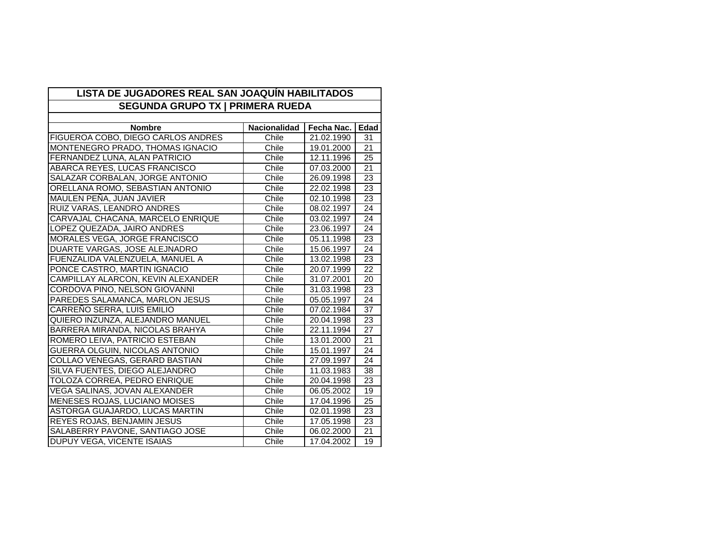| LISTA DE JUGADORES REAL SAN JOAQUÍN HABILITADOS<br><b>SEGUNDA GRUPO TX I PRIMERA RUEDA</b> |                     |            |                 |  |  |
|--------------------------------------------------------------------------------------------|---------------------|------------|-----------------|--|--|
|                                                                                            |                     |            |                 |  |  |
| <b>Nombre</b>                                                                              | <b>Nacionalidad</b> | Fecha Nac. | Edad            |  |  |
| FIGUEROA COBO, DIEGO CARLOS ANDRES                                                         | Chile               | 21.02.1990 | 31              |  |  |
| MONTENEGRO PRADO, THOMAS IGNACIO                                                           | Chile               | 19.01.2000 | 21              |  |  |
| FERNANDEZ LUNA, ALAN PATRICIO                                                              | Chile               | 12.11.1996 | $\overline{25}$ |  |  |
| ABARCA REYES, LUCAS FRANCISCO                                                              | Chile               | 07.03.2000 | 21              |  |  |
| SALAZAR CORBALAN, JORGE ANTONIO                                                            | Chile               | 26.09.1998 | 23              |  |  |
| ORELLANA ROMO, SEBASTIAN ANTONIO                                                           | Chile               | 22.02.1998 | 23              |  |  |
| MAULEN PEÑA, JUAN JAVIER                                                                   | Chile               | 02.10.1998 | 23              |  |  |
| RUIZ VARAS, LEANDRO ANDRES                                                                 | Chile               | 08.02.1997 | 24              |  |  |
| CARVAJAL CHACANA, MARCELO ENRIQUE                                                          | Chile               | 03.02.1997 | $\overline{24}$ |  |  |
| LOPEZ QUEZADA, JAIRO ANDRES                                                                | Chile               | 23.06.1997 | $\overline{24}$ |  |  |
| MORALES VEGA, JORGE FRANCISCO                                                              | Chile               | 05.11.1998 | $\overline{23}$ |  |  |
| DUARTE VARGAS, JOSE ALEJNADRO                                                              | Chile               | 15.06.1997 | 24              |  |  |
| FUENZALIDA VALENZUELA, MANUEL A                                                            | Chile               | 13.02.1998 | 23              |  |  |
| PONCE CASTRO, MARTIN IGNACIO                                                               | Chile               | 20.07.1999 | $\overline{22}$ |  |  |
| CAMPILLAY ALARCON, KEVIN ALEXANDER                                                         | Chile               | 31.07.2001 | 20              |  |  |
| CORDOVA PINO, NELSON GIOVANNI                                                              | Chile               | 31.03.1998 | $\overline{23}$ |  |  |
| PAREDES SALAMANCA, MARLON JESUS                                                            | Chile               | 05.05.1997 | 24              |  |  |
| CARREÑO SERRA, LUIS EMILIO                                                                 | Chile               | 07.02.1984 | 37              |  |  |
| QUIERO INZUNZA, ALEJANDRO MANUEL                                                           | Chile               | 20.04.1998 | $\overline{23}$ |  |  |
| BARRERA MIRANDA, NICOLAS BRAHYA                                                            | Chile               | 22.11.1994 | $\overline{27}$ |  |  |
| ROMERO LEIVA, PATRICIO ESTEBAN                                                             | Chile               | 13.01.2000 | $\overline{21}$ |  |  |
| <b>GUERRA OLGUIN, NICOLAS ANTONIO</b>                                                      | Chile               | 15.01.1997 | $\overline{24}$ |  |  |
| COLLAO VENEGAS, GERARD BASTIAN                                                             | Chile               | 27.09.1997 | 24              |  |  |
| SILVA FUENTES, DIEGO ALEJANDRO                                                             | Chile               | 11.03.1983 | 38              |  |  |
| TOLOZA CORREA, PEDRO ENRIQUE                                                               | Chile               | 20.04.1998 | $\overline{23}$ |  |  |
| VEGA SALINAS, JOVAN ALEXANDER                                                              | Chile               | 06.05.2002 | 19              |  |  |
| <b>MENESES ROJAS, LUCIANO MOISES</b>                                                       | Chile               | 17.04.1996 | 25              |  |  |
| ASTORGA GUAJARDO, LUCAS MARTIN                                                             | Chile               | 02.01.1998 | 23              |  |  |
| <b>REYES ROJAS, BENJAMIN JESUS</b>                                                         | Chile               | 17.05.1998 | 23              |  |  |
| SALABERRY PAVONE, SANTIAGO JOSE                                                            | Chile               | 06.02.2000 | $\overline{21}$ |  |  |
| DUPUY VEGA, VICENTE ISAIAS                                                                 | Chile               | 17.04.2002 | 19              |  |  |